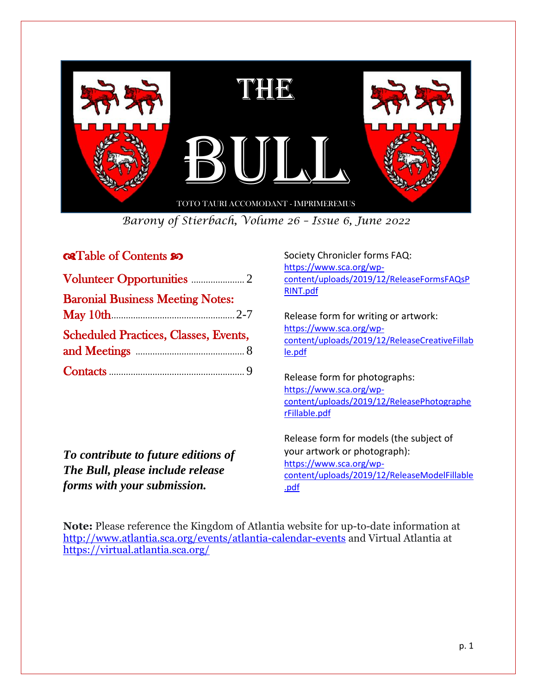

*Barony of Stierbach, Volume 26 – Issue 6, June 2022*

## **GRTable of Contents 20**

| <b>Baronial Business Meeting Notes:</b>      |  |
|----------------------------------------------|--|
|                                              |  |
| <b>Scheduled Practices, Classes, Events,</b> |  |
|                                              |  |
|                                              |  |

*To contribute to future editions of The Bull, please include release forms with your submission.*

Society Chronicler forms FAQ: [https://www.sca.org/wp](https://www.sca.org/wp-content/uploads/2019/12/ReleaseFormsFAQsPRINT.pdf)[content/uploads/2019/12/ReleaseFormsFAQsP](https://www.sca.org/wp-content/uploads/2019/12/ReleaseFormsFAQsPRINT.pdf) [RINT.pdf](https://www.sca.org/wp-content/uploads/2019/12/ReleaseFormsFAQsPRINT.pdf)

Release form for writing or artwork: [https://www.sca.org/wp](https://www.sca.org/wp-content/uploads/2019/12/ReleaseCreativeFillable.pdf)[content/uploads/2019/12/ReleaseCreativeFillab](https://www.sca.org/wp-content/uploads/2019/12/ReleaseCreativeFillable.pdf) [le.pdf](https://www.sca.org/wp-content/uploads/2019/12/ReleaseCreativeFillable.pdf) 

Release form for photographs: [https://www.sca.org/wp](https://www.sca.org/wp-content/uploads/2019/12/ReleasePhotographerFillable.pdf)[content/uploads/2019/12/ReleasePhotographe](https://www.sca.org/wp-content/uploads/2019/12/ReleasePhotographerFillable.pdf) [rFillable.pdf](https://www.sca.org/wp-content/uploads/2019/12/ReleasePhotographerFillable.pdf)

Release form for models (the subject of your artwork or photograph): [https://www.sca.org/wp](https://www.sca.org/wp-content/uploads/2019/12/ReleaseModelFillable.pdf)[content/uploads/2019/12/ReleaseModelFillable](https://www.sca.org/wp-content/uploads/2019/12/ReleaseModelFillable.pdf) [.pdf](https://www.sca.org/wp-content/uploads/2019/12/ReleaseModelFillable.pdf)

**Note:** Please reference the Kingdom of Atlantia website for up-to-date information at <http://www.atlantia.sca.org/events/atlantia-calendar-events> and Virtual Atlantia at <https://virtual.atlantia.sca.org/>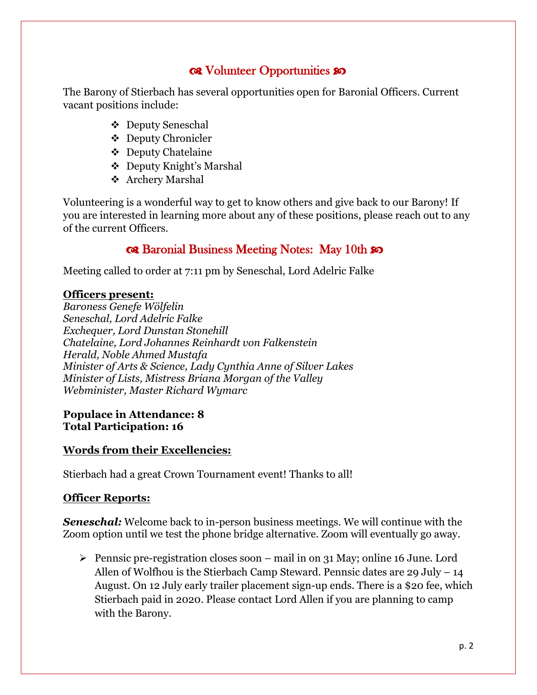# **QR** Volunteer Opportunities so

The Barony of Stierbach has several opportunities open for Baronial Officers. Current vacant positions include:

- ❖ Deputy Seneschal
- ❖ Deputy Chronicler
- ❖ Deputy Chatelaine
- ❖ Deputy Knight's Marshal
- ❖ Archery Marshal

Volunteering is a wonderful way to get to know others and give back to our Barony! If you are interested in learning more about any of these positions, please reach out to any of the current Officers.

# Rat Baronial Business Meeting Notes: May 10th so

Meeting called to order at 7:11 pm by Seneschal, Lord Adelric Falke

### **Officers present:**

*Baroness Genefe Wölfelin Seneschal, Lord Adelric Falke Exchequer, Lord Dunstan Stonehill Chatelaine, Lord Johannes Reinhardt von Falkenstein Herald, Noble Ahmed Mustafa Minister of Arts & Science, Lady Cynthia Anne of Silver Lakes Minister of Lists, Mistress Briana Morgan of the Valley Webminister, Master Richard Wymarc*

### **Populace in Attendance: 8 Total Participation: 16**

## **Words from their Excellencies:**

Stierbach had a great Crown Tournament event! Thanks to all!

### **Officer Reports:**

*Seneschal:* Welcome back to in-person business meetings. We will continue with the Zoom option until we test the phone bridge alternative. Zoom will eventually go away.

➢ Pennsic pre-registration closes soon – mail in on 31 May; online 16 June. Lord Allen of Wolfhou is the Stierbach Camp Steward. Pennsic dates are 29 July  $-14$ August. On 12 July early trailer placement sign-up ends. There is a \$20 fee, which Stierbach paid in 2020. Please contact Lord Allen if you are planning to camp with the Barony.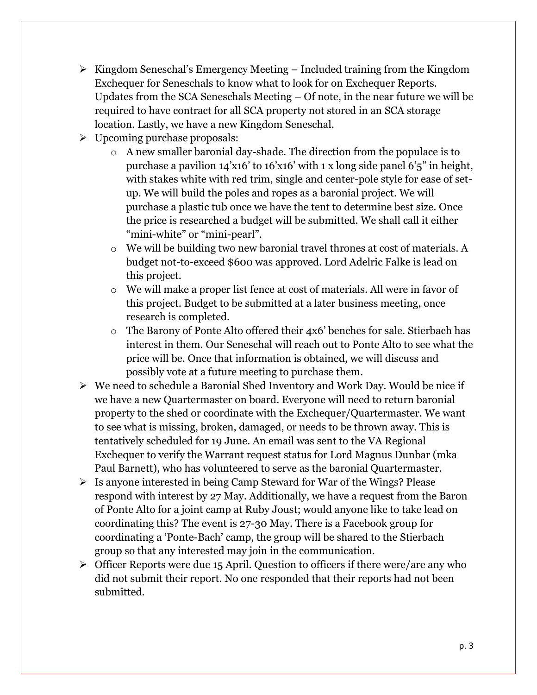- ➢ Kingdom Seneschal's Emergency Meeting Included training from the Kingdom Exchequer for Seneschals to know what to look for on Exchequer Reports. Updates from the SCA Seneschals Meeting – Of note, in the near future we will be required to have contract for all SCA property not stored in an SCA storage location. Lastly, we have a new Kingdom Seneschal.
- ➢ Upcoming purchase proposals:
	- o A new smaller baronial day-shade. The direction from the populace is to purchase a pavilion 14'x16' to 16'x16' with 1 x long side panel 6'5" in height, with stakes white with red trim, single and center-pole style for ease of setup. We will build the poles and ropes as a baronial project. We will purchase a plastic tub once we have the tent to determine best size. Once the price is researched a budget will be submitted. We shall call it either "mini-white" or "mini-pearl".
	- o We will be building two new baronial travel thrones at cost of materials. A budget not-to-exceed \$600 was approved. Lord Adelric Falke is lead on this project.
	- o We will make a proper list fence at cost of materials. All were in favor of this project. Budget to be submitted at a later business meeting, once research is completed.
	- o The Barony of Ponte Alto offered their 4x6' benches for sale. Stierbach has interest in them. Our Seneschal will reach out to Ponte Alto to see what the price will be. Once that information is obtained, we will discuss and possibly vote at a future meeting to purchase them.
- ➢ We need to schedule a Baronial Shed Inventory and Work Day. Would be nice if we have a new Quartermaster on board. Everyone will need to return baronial property to the shed or coordinate with the Exchequer/Quartermaster. We want to see what is missing, broken, damaged, or needs to be thrown away. This is tentatively scheduled for 19 June. An email was sent to the VA Regional Exchequer to verify the Warrant request status for Lord Magnus Dunbar (mka Paul Barnett), who has volunteered to serve as the baronial Quartermaster.
- ➢ Is anyone interested in being Camp Steward for War of the Wings? Please respond with interest by 27 May. Additionally, we have a request from the Baron of Ponte Alto for a joint camp at Ruby Joust; would anyone like to take lead on coordinating this? The event is 27-30 May. There is a Facebook group for coordinating a 'Ponte-Bach' camp, the group will be shared to the Stierbach group so that any interested may join in the communication.
- $\triangleright$  Officer Reports were due 15 April. Question to officers if there were/are any who did not submit their report. No one responded that their reports had not been submitted.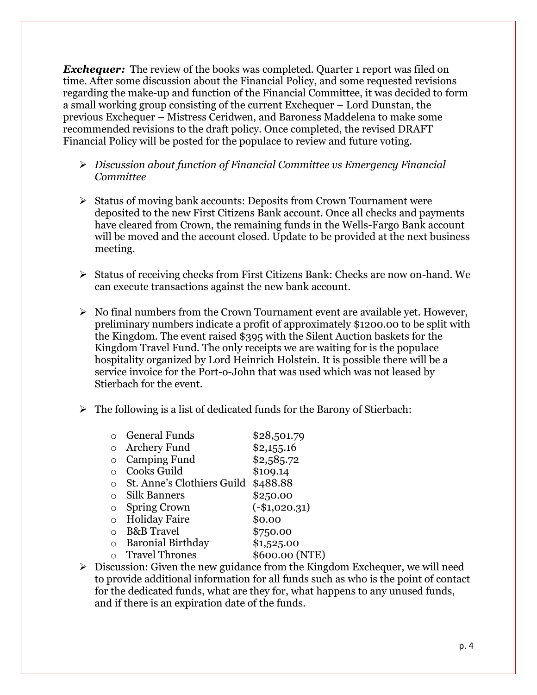*Exchequer:* The review of the books was completed. Quarter 1 report was filed on time. After some discussion about the Financial Policy, and some requested revisions regarding the make-up and function of the Financial Committee, it was decided to form a small working group consisting of the current Exchequer – Lord Dunstan, the previous Exchequer – Mistress Ceridwen, and Baroness Maddelena to make some recommended revisions to the draft policy. Once completed, the revised DRAFT Financial Policy will be posted for the populace to review and future voting.

- ➢ *Discussion about function of Financial Committee vs Emergency Financial Committee*
- ➢ Status of moving bank accounts: Deposits from Crown Tournament were deposited to the new First Citizens Bank account. Once all checks and payments have cleared from Crown, the remaining funds in the Wells-Fargo Bank account will be moved and the account closed. Update to be provided at the next business meeting.
- ➢ Status of receiving checks from First Citizens Bank: Checks are now on-hand. We can execute transactions against the new bank account.
- $\triangleright$  No final numbers from the Crown Tournament event are available yet. However, preliminary numbers indicate a profit of approximately \$1200.00 to be split with the Kingdom. The event raised \$395 with the Silent Auction baskets for the Kingdom Travel Fund. The only receipts we are waiting for is the populace hospitality organized by Lord Heinrich Holstein. It is possible there will be a service invoice for the Port-o-John that was used which was not leased by Stierbach for the event.
- $\triangleright$  The following is a list of dedicated funds for the Barony of Stierbach:

|           | <b>General Funds</b>       | \$28,501.79     |
|-----------|----------------------------|-----------------|
| $\circ$   | <b>Archery Fund</b>        | \$2,155.16      |
|           | <b>Camping Fund</b>        | \$2,585.72      |
|           | Cooks Guild                | \$109.14        |
| $\circ$   | St. Anne's Clothiers Guild | \$488.88        |
| $\Omega$  | Silk Banners               | \$250.00        |
| O         | <b>Spring Crown</b>        | $(-\$1,020.31)$ |
| $\circ$   | <b>Holiday Faire</b>       | \$0.00          |
| $\bigcap$ | <b>B&amp;B</b> Travel      | \$750.00        |
| ∩         | <b>Baronial Birthday</b>   | \$1,525.00      |
| $\bigcap$ | <b>Travel Thrones</b>      | \$600.00 (NTE)  |

 $\triangleright$  Discussion: Given the new guidance from the Kingdom Exchequer, we will need to provide additional information for all funds such as who is the point of contact for the dedicated funds, what are they for, what happens to any unused funds, and if there is an expiration date of the funds.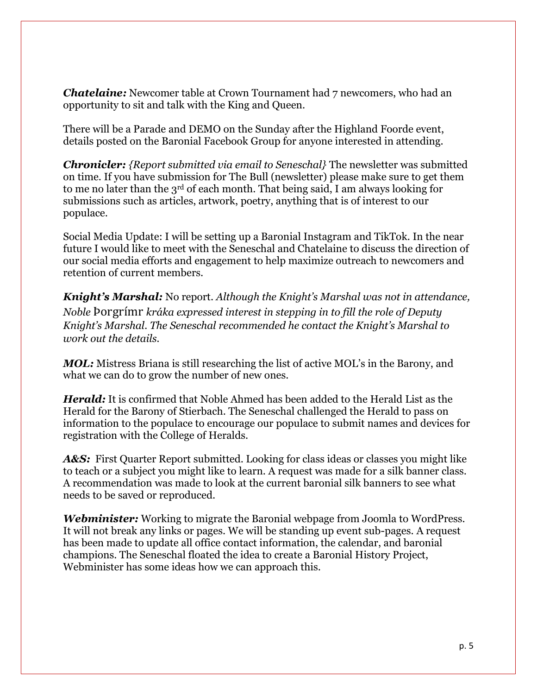*Chatelaine:* Newcomer table at Crown Tournament had 7 newcomers, who had an opportunity to sit and talk with the King and Queen.

There will be a Parade and DEMO on the Sunday after the Highland Foorde event, details posted on the Baronial Facebook Group for anyone interested in attending.

*Chronicler: {Report submitted via email to Seneschal}* The newsletter was submitted on time. If you have submission for The Bull (newsletter) please make sure to get them to me no later than the 3rd of each month. That being said, I am always looking for submissions such as articles, artwork, poetry, anything that is of interest to our populace.

Social Media Update: I will be setting up a Baronial Instagram and TikTok. In the near future I would like to meet with the Seneschal and Chatelaine to discuss the direction of our social media efforts and engagement to help maximize outreach to newcomers and retention of current members.

*Knight's Marshal:* No report. *Although the Knight's Marshal was not in attendance, Noble* Þorgrímr *kráka expressed interest in stepping in to fill the role of Deputy Knight's Marshal. The Seneschal recommended he contact the Knight's Marshal to work out the details.* 

*MOL:* Mistress Briana is still researching the list of active MOL's in the Barony, and what we can do to grow the number of new ones.

*Herald:* It is confirmed that Noble Ahmed has been added to the Herald List as the Herald for the Barony of Stierbach. The Seneschal challenged the Herald to pass on information to the populace to encourage our populace to submit names and devices for registration with the College of Heralds.

A&S: First Quarter Report submitted. Looking for class ideas or classes you might like to teach or a subject you might like to learn. A request was made for a silk banner class. A recommendation was made to look at the current baronial silk banners to see what needs to be saved or reproduced.

*Webminister:* Working to migrate the Baronial webpage from Joomla to WordPress. It will not break any links or pages. We will be standing up event sub-pages. A request has been made to update all office contact information, the calendar, and baronial champions. The Seneschal floated the idea to create a Baronial History Project, Webminister has some ideas how we can approach this.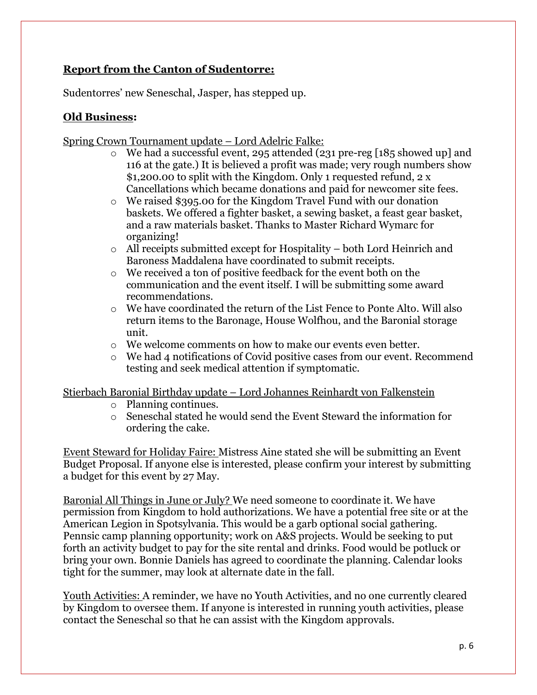## **Report from the Canton of Sudentorre:**

Sudentorres' new Seneschal, Jasper, has stepped up.

## **Old Business:**

Spring Crown Tournament update – Lord Adelric Falke:

- o We had a successful event, 295 attended (231 pre-reg [185 showed up] and 116 at the gate.) It is believed a profit was made; very rough numbers show \$1,200.00 to split with the Kingdom. Only 1 requested refund, 2 x Cancellations which became donations and paid for newcomer site fees.
- o We raised \$395.00 for the Kingdom Travel Fund with our donation baskets. We offered a fighter basket, a sewing basket, a feast gear basket, and a raw materials basket. Thanks to Master Richard Wymarc for organizing!
- $\circ$  All receipts submitted except for Hospitality both Lord Heinrich and Baroness Maddalena have coordinated to submit receipts.
- o We received a ton of positive feedback for the event both on the communication and the event itself. I will be submitting some award recommendations.
- $\circ$  We have coordinated the return of the List Fence to Ponte Alto. Will also return items to the Baronage, House Wolfhou, and the Baronial storage unit.
- o We welcome comments on how to make our events even better.
- o We had 4 notifications of Covid positive cases from our event. Recommend testing and seek medical attention if symptomatic.

Stierbach Baronial Birthday update – Lord Johannes Reinhardt von Falkenstein

- o Planning continues.
- o Seneschal stated he would send the Event Steward the information for ordering the cake.

Event Steward for Holiday Faire: Mistress Aine stated she will be submitting an Event Budget Proposal. If anyone else is interested, please confirm your interest by submitting a budget for this event by 27 May.

Baronial All Things in June or July? We need someone to coordinate it. We have permission from Kingdom to hold authorizations. We have a potential free site or at the American Legion in Spotsylvania. This would be a garb optional social gathering. Pennsic camp planning opportunity; work on A&S projects. Would be seeking to put forth an activity budget to pay for the site rental and drinks. Food would be potluck or bring your own. Bonnie Daniels has agreed to coordinate the planning. Calendar looks tight for the summer, may look at alternate date in the fall.

Youth Activities: A reminder, we have no Youth Activities, and no one currently cleared by Kingdom to oversee them. If anyone is interested in running youth activities, please contact the Seneschal so that he can assist with the Kingdom approvals.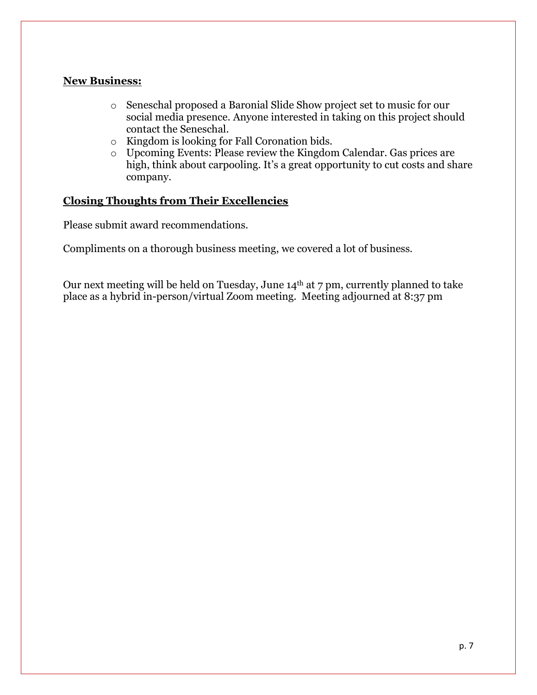### **New Business:**

- o Seneschal proposed a Baronial Slide Show project set to music for our social media presence. Anyone interested in taking on this project should contact the Seneschal.
- o Kingdom is looking for Fall Coronation bids.
- o Upcoming Events: Please review the Kingdom Calendar. Gas prices are high, think about carpooling. It's a great opportunity to cut costs and share company.

## **Closing Thoughts from Their Excellencies**

Please submit award recommendations.

Compliments on a thorough business meeting, we covered a lot of business.

Our next meeting will be held on Tuesday, June 14th at 7 pm, currently planned to take place as a hybrid in-person/virtual Zoom meeting. Meeting adjourned at 8:37 pm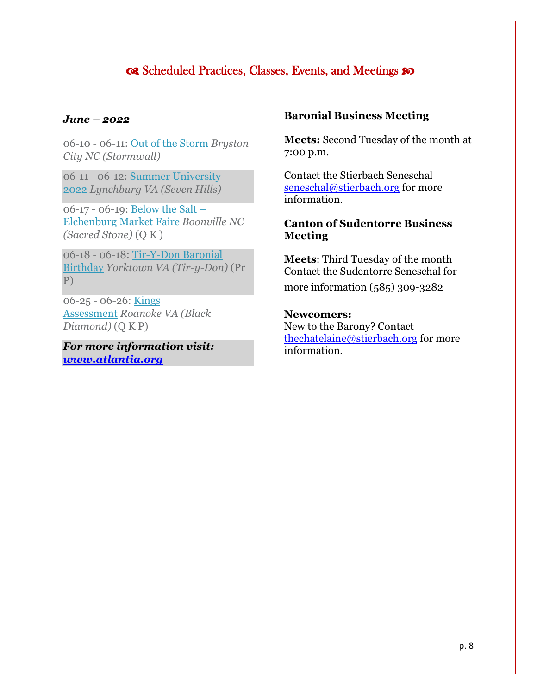# CR Scheduled Practices, Classes, Events, and Meetings so

#### *June – 2022*

06-10 - 06-11: [Out of the Storm](https://atlantia.sca.org/event/?event_id=3e955e67) *Bryston City NC (Stormwall)*

06-11 - 06-12: [Summer University](https://atlantia.sca.org/event/?event_id=0dc6227e)  [2022](https://atlantia.sca.org/event/?event_id=0dc6227e) *Lynchburg VA (Seven Hills)*

06-17 - 06-19: [Below the Salt](https://atlantia.sca.org/event/?event_id=0183b118) – Elchenburg [Market Faire](https://atlantia.sca.org/event/?event_id=0183b118) *Boonville NC (Sacred Stone)* (Q K )

06-18 - 06-18: [Tir-Y-Don Baronial](https://atlantia.sca.org/event/?event_id=7765eee7)  [Birthday](https://atlantia.sca.org/event/?event_id=7765eee7) *Yorktown VA (Tir-y-Don)* (Pr P)

06-25 - 06-26: [Kings](https://atlantia.sca.org/event/?event_id=faf3683b)  [Assessment](https://atlantia.sca.org/event/?event_id=faf3683b) *Roanoke VA (Black Diamond)* (Q K P)

*For more information visit: [www.atlantia.org](http://www.atlantia.org/)*

#### **Baronial Business Meeting**

**Meets:** Second Tuesday of the month at 7:00 p.m.

Contact the Stierbach Seneschal seneschal@stierbach.org for more information.

### **Canton of Sudentorre Business Meeting**

**Meets**: Third Tuesday of the month Contact the Sudentorre Seneschal for

more information (585) 309-3282

#### **Newcomers:**

New to the Barony? Contact [thechatelaine@stierbach.org](file:///C:/Users/jlros/Desktop/Stierbach/thechatelaine@stierbach.org) for more information.